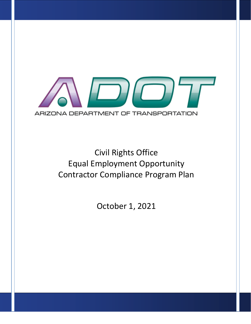

# Civil Rights Office Equal Employment Opportunity Contractor Compliance Program Plan

October 1, 2021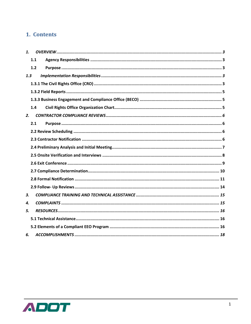### 1. Contents

| 1.  |     |  |
|-----|-----|--|
|     | 1.1 |  |
|     | 1.2 |  |
| 1.3 |     |  |
|     |     |  |
|     |     |  |
|     |     |  |
|     | 1.4 |  |
| 2.  |     |  |
|     | 2.1 |  |
|     |     |  |
|     |     |  |
|     |     |  |
|     |     |  |
|     |     |  |
|     |     |  |
|     |     |  |
|     |     |  |
| 3.  |     |  |
| 4.  |     |  |
| 5.  |     |  |
|     |     |  |
|     |     |  |
| 6.  |     |  |

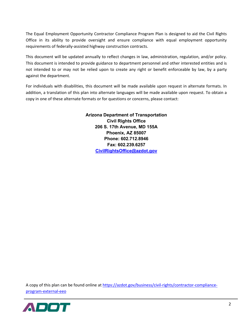The Equal Employment Opportunity Contractor Compliance Program Plan is designed to aid the Civil Rights Office in its ability to provide oversight and ensure compliance with equal employment opportunity requirements of federally-assisted highway construction contracts.

This document will be updated annually to reflect changes in law, administration, regulation, and/or policy. This document is intended to provide guidance to department personnel and other interested entities and is not intended to or may not be relied upon to create any right or benefit enforceable by law, by a party against the department.

For individuals with disabilities, this document will be made available upon request in alternate formats. In addition, a translation of this plan into alternate languages will be made available upon request. To obtain a copy in one of these alternate formats or for questions or concerns, please contact:

> **Arizona Department of Transportation Civil Rights Office 206 S. 17th Avenue, MD 155A Phoenix, AZ 85007 Phone: 602.712.8946 Fax: 602.239.6257 [CivilRightsOffice@azdot.gov](mailto:CivilRightsOffice@azdot.gov)**

A copy of this plan can be found online at [https://azdot.gov/business/civil-rights/contractor-compliance](https://azdot.gov/business/civil-rights/contractor-compliance-program-external-eeo)[program-external-eeo](https://azdot.gov/business/civil-rights/contractor-compliance-program-external-eeo)

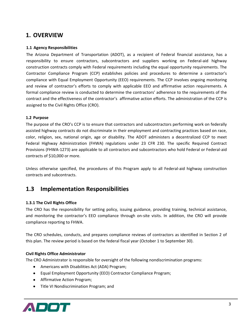### <span id="page-3-0"></span>**1. OVERVIEW**

#### <span id="page-3-1"></span>**1.1 Agency Responsibilities**

The Arizona Department of Transportation (ADOT), as a recipient of Federal financial assistance, has a responsibility to ensure contractors, subcontractors and suppliers working on Federal-aid highway construction contracts comply with Federal requirements including the equal opportunity requirements. The Contractor Compliance Program (CCP) establishes policies and procedures to determine a contractor's compliance with Equal Employment Opportunity (EEO) requirements. The CCP involves ongoing monitoring and review of contractor's efforts to comply with applicable EEO and affirmative action requirements. A formal compliance review is conducted to determine the contractors' adherence to the requirements of the contract and the effectiveness of the contractor's affirmative action efforts. The administration of the CCP is assigned to the Civil Rights Office (CRO).

#### <span id="page-3-2"></span>**1.2 Purpose**

The purpose of the CRO's CCP is to ensure that contractors and subcontractors performing work on federally assisted highway contracts do not discriminate in their employment and contracting practices based on race, color, religion, sex, national origin, age or disability. The ADOT administers a decentralized CCP to meet Federal Highway Administration (FHWA) regulations under 23 CFR 230. The specific Required Contract Provisions (FHWA-1273) are applicable to all contractors and subcontractors who hold Federal or Federal-aid contracts of \$10,000 or more.

Unless otherwise specified, the procedures of this Program apply to all Federal-aid highway construction contracts and subcontracts.

### <span id="page-3-3"></span>**1.3 Implementation Responsibilities**

#### <span id="page-3-4"></span>**1.3.1 The Civil Rights Office**

The CRO has the responsibility for setting policy, issuing guidance, providing training, technical assistance, and monitoring the contractor's EEO compliance through on-site visits. In addition, the CRO will provide compliance reporting to FHWA.

The CRO schedules, conducts, and prepares compliance reviews of contractors as identified in Section 2 of this plan. The review period is based on the federal fiscal year (October 1 to September 30).

#### **Civil Rights Office Administrator**

The CRO Administrator is responsible for oversight of the following nondiscrimination programs:

- Americans with Disabilities Act (ADA) Program;
- Equal Employment Opportunity (EEO) Contractor Compliance Program;
- Affirmative Action Program;
- Title VI Nondiscrimination Program; and

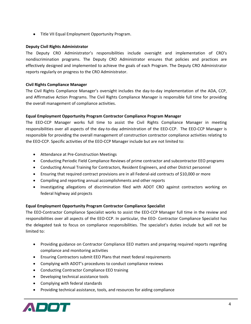• Title VII Equal Employment Opportunity Program.

#### **Deputy Civil Rights Administrator**

The Deputy CRO Administrator's responsibilities include oversight and implementation of CRO's nondiscrimination programs. The Deputy CRO Administrator ensures that policies and practices are effectively designed and implemented to achieve the goals of each Program. The Deputy CRO Administrator reports regularly on progress to the CRO Administrator.

#### **Civil Rights Compliance Manager**

The Civil Rights Compliance Manager's oversight includes the day-to-day implementation of the ADA, CCP, and Affirmative Action Programs. The Civil Rights Compliance Manager is responsible full time for providing the overall management of compliance activities.

#### **Equal Employment Opportunity Program Contractor Compliance Program Manager**

The EEO-CCP Manager works full time to assist the Civil Rights Compliance Manager in meeting responsibilities over all aspects of the day-to-day administration of the EEO-CCP. The EEO-CCP Manager is responsible for providing the overall management of construction contractor compliance activities relating to the EEO-CCP. Specific activities of the EEO-CCP Manager include but are not limited to:

- Attendance at Pre-Construction Meetings
- Conducting Periodic Field Compliance Reviews of prime contractor and subcontractor EEO programs
- Conducting Annual Training for Contractors, Resident Engineers, and other District personnel
- Ensuring that required contract provisions are in all Federal-aid contracts of \$10,000 or more
- Compiling and reporting annual accomplishments and other reports
- Investigating allegations of discrimination filed with ADOT CRO against contractors working on federal highway aid projects

#### **Equal Employment Opportunity Program Contractor Compliance Specialist**

The EEO-Contractor Compliance Specialist works to assist the EEO-CCP Manager full time in the review and responsibilities over all aspects of the EEO-CCP. In particular, the EEO- Contractor Compliance Specialist has the delegated task to focus on compliance responsibilities. The specialist's duties include but will not be limited to:

- Providing guidance on Contractor Compliance EEO matters and preparing required reports regarding compliance and monitoring activities
- Ensuring Contractors submit EEO Plans that meet federal requirements
- Complying with ADOT's procedures to conduct compliance reviews
- Conducting Contractor Compliance EEO training
- Developing technical assistance tools
- Complying with federal standards
- Providing technical assistance, tools, and resources for aiding compliance

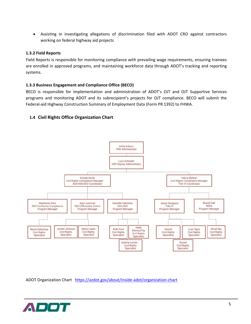• Assisting in investigating allegations of discrimination filed with ADOT CRO against contractors working on federal highway aid projects

#### <span id="page-5-0"></span>**1.3.2 Field Reports**

Field Reports is responsible for monitoring compliance with prevailing wage requirements, ensuring trainees are enrolled in approved programs, and maintaining workforce data through ADOT's tracking and reporting systems.

#### <span id="page-5-1"></span>**1.3.3 Business Engagement and Compliance Office (BECO)**

BECO is responsible for implementation and administration of ADOT's OJT and OJT Supportive Services programs and monitoring ADOT and its subrecipient's projects for OJT compliance. BECO will submit the Federal-aid Highway Construction Summary of Employment Data (Form PR 1392) to FHWA.

#### <span id="page-5-2"></span>**1.4 Civil Rights Office Organization Chart**



ADOT Organization Chart<https://azdot.gov/about/inside-adot/organization-chart>

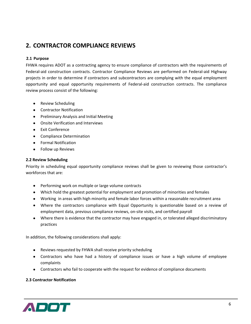# <span id="page-6-0"></span>**2. CONTRACTOR COMPLIANCE REVIEWS**

#### <span id="page-6-1"></span>**2.1 Purpose**

FHWA requires ADOT as a contracting agency to ensure compliance of contractors with the requirements of Federal-aid construction contracts. Contractor Compliance Reviews are performed on Federal-aid Highway projects in order to determine if contractors and subcontractors are complying with the equal employment opportunity and equal opportunity requirements of Federal-aid construction contracts. The compliance review process consist of the following:

- Review Scheduling
- Contractor Notification
- Preliminary Analysis and Initial Meeting
- Onsite Verification and Interviews
- Exit Conference
- Compliance Determination
- Formal Notification
- Follow up Reviews

#### <span id="page-6-2"></span>**2.2 Review Scheduling**

Priority in scheduling equal opportunity compliance reviews shall be given to reviewing those contractor's workforces that are:

- Performing work on multiple or large volume contracts
- Which hold the greatest potential for employment and promotion of minorities and females
- Working in areas with high minority and female labor forces within a reasonable recruitment area
- Where the contractors compliance with Equal Opportunity is questionable based on a review of employment data, previous compliance reviews, on-site visits, and certified payroll
- Where there is evidence that the contractor may have engaged in, or tolerated alleged discriminatory practices

In addition, the following considerations shall apply:

- Reviews requested by FHWA shall receive priority scheduling
- Contractors who have had a history of compliance issues or have a high volume of employee complaints
- Contractors who fail to cooperate with the request for evidence of compliance documents

#### <span id="page-6-3"></span>**2.3 Contractor Notification**

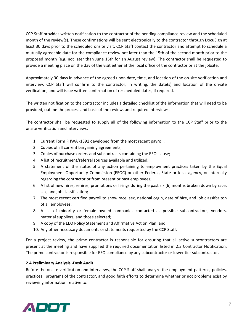CCP Staff provides written notification to the contractor of the pending compliance review and the scheduled month of the review(s). These confirmations will be sent electronically to the contractor through DocuSign at least 30 days prior to the scheduled onsite visit. CCP Staff contact the contractor and attempt to schedule a mutually agreeable date for the compliance review not later than the 15th of the second month prior to the proposed month (e.g. not later than June 15th for an August review). The contractor shall be requested to provide a meeting place on the day of the visit either at the local office of the contractor or at the jobsite.

Approximately 30 days in advance of the agreed upon date, time, and location of the on-site verification and interview, CCP Staff will confirm to the contractor, in writing, the date(s) and location of the on-site verification, and will issue written confirmation of rescheduled dates, if required.

The written notification to the contractor includes a detailed checklist of the information that will need to be provided, outline the process and basis of the review, and required interviews.

The contractor shall be requested to supply all of the following information to the CCP Staff prior to the onsite verification and interviews:

- 1. Current Form FHWA -1391 developed from the most recent payroll;
- 2. Copies of all current bargaining agreements;
- 3. Copies of purchase orders and subcontracts containing the EEO clause;
- 4. A list of recruitment/referral sources available and utilized;
- 5. A statement of the status of any action pertaining to employment practices taken by the Equal Employment Opportunity Commission (EEOC) or other Federal, State or local agency, or internally regarding the contractor or from present or past employees;
- 6. A list of new hires, rehires, promotions or firings during the past six (6) months broken down by race, sex, and job classification;
- 7. The most recent certified payroll to show race, sex, national orgin, date of hire, and job classifcaiton of all employees;
- 8. A list of minority or female owned companies contacted as possible subcontractors, vendors, material suppliers, and those selected;
- 9. A copy of the EEO Policy Statement and Affirmative Action Plan; and
- 10. Any other necessary documents or statements requested by the CCP Staff.

For a project review, the prime contractor is responsible for ensuring that all active subcontractors are present at the meeting and have supplied the required documentation listed in 2.3 Contractor Notification. The prime contractor is responsible for EEO compliance by any subcontractor or lower tier subcontractor.

#### <span id="page-7-0"></span>**2.4 Preliminary Analysis -Desk Audit**

Before the onsite verification and interviews, the CCP Staff shall analyze the employment patterns, policies, practices, programs of the contractor, and good faith efforts to determine whether or not problems exist by reviewing information relative to:

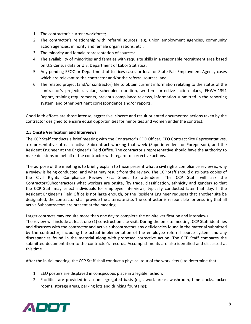- 1. The contractor's current workforce;
- 2. The contractor's relationship with referral sources, e.g. union employment agencies, community action agencies, minority and female organizations, etc.;
- 3. The minority and female representation of sources;
- 4. The availability of minorities and females with requisite skills in a reasonable recruitment area based on U.S Census data or U.S. Department of Labor Statistics;
- 5. Any pending EEOC or Department of Justices cases or local or State Fair Employment Agency cases which are relevant to the contractor and/or the referral sources; and
- 6. The related project (and/or contractor) file to obtain current information relating to the status of the contractor's project(s), value, scheduled duration, written corrective action plans, FHWA-1391 Report, training requirements, previous compliance reviews, information submitted in the reporting system, and other pertinent correspondence and/or reports.

Good faith efforts are those intense, aggressive, sincere and result oriented documented actions taken by the contractor designed to ensure equal opportunities for minorities and women under the contract.

#### <span id="page-8-0"></span>**2.5 Onsite Verification and Interviews**

The CCP Staff conducts a brief meeting with the Contractor's EEO Officer, EEO Contract Site Representatives, a representative of each active Subcontract working that week (Superintendent or Foreperson), and the Resident Engineer at the Engineer's Field Office. The contractor's representative should have the authority to make decisions on behalf of the contractor with regard to corrective actions.

The purpose of the meeting is to briefly explain to those present what a civil rights compliance review is, why a review is being conducted, and what may result from the review. The CCP Staff should distribute copies of the Civil Rights Compliance Review Fact Sheet to attendees. The CCP Staff will ask the Contractor/Subcontractors what workers are onsite, (by trade, classification, ethnicity and gender) so that the CCP Staff may select individuals for employee interviews, typically conducted later that day. If the Resident Engineer's Field Office is not large enough, or the Resident Engineer requests that another site be designated, the contractor shall provide the alternate site. The contractor is responsible for ensuring that all active Subcontractors are present at the meeting.

Larger contracts may require more than one day to complete the on-site verification and interviews.

The review will include at least one (1) construction site visit. During the on-site meeting, CCP Staff identifies and discusses with the contractor and active subcontractors any deficiencies found in the material submitted by the contractor, including the actual implementation of the employee referral source system and any discrepancies found in the material along with proposed corrective action. The CCP Staff compares the submitted documentation to the contractor's records. Accomplishments are also identified and discussed at this time.

After the initial meeting, the CCP Staff shall conduct a physical tour of the work site(s) to determine that:

- 1. EEO posters are displayed in conspicuous place in a legible fashion;
- 2. Facilities are provided in a non-segregated basis (e.g., work areas, washroom, time-clocks, locker rooms, storage areas, parking lots and drinking fountains);

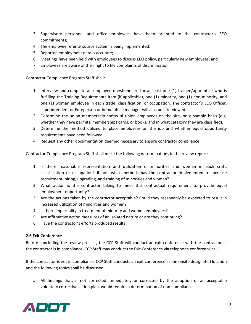- 3. Supervisory personnel and office employees have been oriented to the contractor's EEO commitments;
- 4. The employee referral source system is being implemented;
- 5. Reported employment data is accurate;
- 6. Meetings have been held with employees to discuss EEO policy, particularly new employees; and
- 7. Employees are aware of their right to file complaints of discrimination.

Contractor Compliance Program Staff shall:

- 1. Interview and complete an employee questionnaire for at least one (1) trainee/apprentice who is fulfilling the Training Requirements Item (if applicable), one (1) minority, one (1) non-minority, and one (1) woman employee in each trade, classification, or occupation. The contractor's EEO Officer, superintendent or Foreperson or home office manager will also be interviewed.
- 2. Determine the union membership status of union employees on the site, on a sample basis (e.g. whether they have permits, memberships cards, or books, and in what category they are classified).
- 3. Determine the method utilized to place employees on the job and whether equal opportunity requirements have been followed.
- 4. Request any other documentation deemed necessary to ensure contractor compliance.

Contractor Compliance Program Staff shall make the following determinations in the review report:

- 1. Is there reasonable representation and utilization of minorities and women in each craft, classification or occupation? If not, what methods has the contractor implemented to increase recruitment, hiring, upgrading, and training of minorities and women?
- 2. What action is the contractor taking to meet the contractual requirement to provide equal employment opportunity?
- 3. Are the actions taken by the contractor acceptable? Could they reasonably be expected to result in increased utilization of minorities and women?
- 4. Is there impartiality in treatment of minority and women employees?
- 5. Are affirmative action measures of an isolated nature or are they continuing?
- 6. Have the contractor's efforts produced results?

#### <span id="page-9-0"></span>**2.6 Exit Conference**

Before concluding the review process, the CCP Staff will conduct an exit conference with the contractor. If the contractor is in compliance, CCP Staff may conduct the Exit Conference via telephone conference call.

If the contractor is not in compliance, CCP Staff conducts an exit conference at the onsite designated location and the following topics shall be discussed:

a) All findings that, if not corrected immediately or corrected by the adoption of an acceptable voluntary corrective action plan, would require a determination of non-compliance.

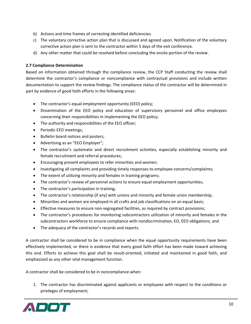- b) Actions and time frames of correcting identified deficiencies.
- c) The voluntary corrective action plan that is discussed and agreed upon. Notification of the voluntary corrective action plan is sent to the contractor within 5 days of the exit conference.
- d) Any other matter that could be resolved before concluding the onsite portion of the review.

#### <span id="page-10-0"></span>**2.7 Compliance Determination**

Based on information obtained through the compliance review, the CCP Staff conducting the review shall determine the contractor's compliance or noncompliance with contractual provisions and include written documentation to support the review findings. The compliance status of the contractor will be determined in part by evidence of good faith efforts in the following areas:

- The contractor's equal employment opportunity (EEO) policy;
- Dissemination of the EEO policy and education of supervisory personnel and office employees concerning their responsibilities in implementing the EEO policy;
- The authority and responsibilities of the EEO officer;
- Periodic EEO meetings;
- Bulletin board notices and posters;
- Advertising as an "EEO Employer";
- The contractor's systematic and direct recruitment activities, especially establishing minority and female recruitment and referral procedures;
- Encouraging present employees to refer minorities and women;
- Investigating all complaints and providing timely responses to employee concerns/complaints;
- The extent of utilizing minority and females in training programs;
- The contractor's review of personnel actions to ensure equal employment opportunities;
- The contractor's participation in training;
- The contractor's relationship (if any) with unions and minority and female union membership;
- Minorities and women are employed in all crafts and job classifications on an equal basis;
- Effective measures to ensure non-segregated facilities, as required by contract provisions;
- The contractor's procedures for monitoring subcontractors utilization of minority and females in the subcontractors workforce to ensure compliance with nondiscrimination, EO, EEO obligations; and
- The adequacy of the contractor's records and reports.

A contractor shall be considered to be in compliance when the equal opportunity requirements have been effectively implemented, or there is evidence that every good faith effort has been made toward achieving this end. Efforts to achieve this goal shall be result-oriented, initiated and maintained in good faith, and emphasized as any other vital management function.

A contractor shall be considered to be in noncompliance when:

1. The contractor has discriminated against applicants or employees with respect to the conditions or privileges of employment;

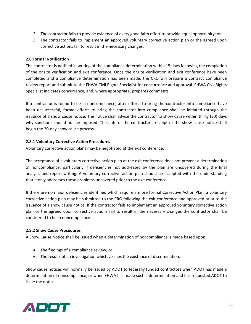- 2. The contractor fails to provide evidence of every good faith effort to provide equal opportunity; or
- 3. The contractor fails to implement an approved voluntary corrective action plan or the agreed upon corrective actions fail to result in the necessary changes.

#### <span id="page-11-0"></span>**2.8 Formal Notification**

The contractor is notified in writing of the compliance determination within 15 days following the completion of the onsite verification and exit conference. Once the onsite verification and exit conference have been completed and a compliance determination has been made, the CRO will prepare a contract compliance review report and submit to the FHWA Civil Rights Specialist for concurrence and approval. FHWA Civil Rights Specialist indicates concurrence, and, where appropriate, prepares comments.

If a contractor is found to be in noncompliance, after efforts to bring the contractor into compliance have been unsuccessful, formal efforts to bring the contractor into compliance shall be initiated through the issuance of a show cause notice. The notice shall advise the contractor to show cause within thirty (30) days why sanctions should not be imposed. The date of the contractor's receipt of the show cause notice shall begin the 30-day show cause process.

#### **2.8.1 Voluntary Corrective Action Procedures**

Voluntary corrective action plans may be negotiated at the exit conference.

The acceptance of a voluntary corrective action plan at the exit conference does not prevent a determination of noncompliance, particularly if deficiencies not addressed by the plan are uncovered during the final analysis and report writing. A voluntary corrective action plan should be accepted with the understanding that it only addresses those problems uncovered prior to the exit conference.

If there are no major deficiencies identified which require a more formal Corrective Action Plan, a voluntary corrective action plan may be submitted to the CRO following the exit conference and approved prior to the issuance of a show cause notice. If the contractor fails to implement an approved voluntary corrective action plan or the agreed upon corrective actions fail to result in the necessary changes the contractor shall be considered to be in noncompliance.

#### **2.8.2 Show Cause Procedures**

A Show Cause Notice shall be issued when a determination of noncompliance is made based upon:

- The findings of a compliance review; or
- The results of an investigation which verifies the existence of discrimination.

Show cause notices will normally be issued by ADOT to federally funded contractors when ADOT has made a determination of noncompliance, or when FHWA has made such a determination and has requested ADOT to issue the notice.

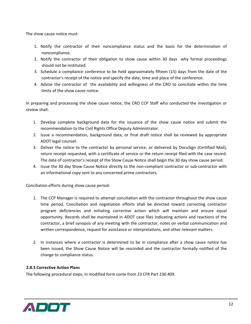The show cause notice must:

- 1. Notify the contractor of their noncompliance status and the basis for the determination of noncompliance.
- 2. Notify the contractor of their obligation to show cause within 30 days why formal proceedings should not be instituted.
- 3. Schedule a compliance conference to be held approximately fifteen (15) days from the date of the contractor's receipt of the notice and specify the date, time and place of the conference.
- 4. Advise the contractor of the availability and willingness of the CRO to conciliate within the time limits of the show cause notice.

In preparing and processing the show cause notice, the CRO CCP Staff who conducted the investigation or review shall:

- 1. Develop complete background data for the issuance of the show cause notice and submit the recommendation to the Civil Rights Office Deputy Administrator.
- 2. Issue a recommendation, background data, or final draft notice shall be reviewed by appropriate ADOT legal counsel.
- 3. Deliver the notice to the contractor by personal service, or delivered by DocuSign (Certified Mail), return receipt requested, with a certificate of service or the return receipt filed with the case record. The date of contractor's receipt of the Show Cause Notice shall begin the 30 day show cause period.
- 4. Issue the 30 day Show Cause Notice directly to the non-compliant contractor or sub-contractor with an informational copy sent to any concerned prime contractors.

Conciliation efforts during show cause period:

- 1. The CCP Manager is required to attempt conciliation with the contractor throughout the show cause time period. Conciliation and negotiation efforts shall be directed toward correcting contractor program deficiencies and initiating corrective action which will maintain and ensure equal opportunity. Records shall be maintained in ADOT case files indicating actions and reactions of the contractor, a brief synopsis of any meeting with the contractor, notes on verbal communication and written correspondence, request for assistance or interpretations, and other relevant matters.
- 2. In instances where a contractor is determined to be in compliance after a show cause notice has been issued, the Show Cause Notice will be rescinded and the contractor formally notified of the change to compliance status.

#### **2.8.3 Corrective Action Plans**

The following procedural steps, in modified form come from 23 CFR Part 230.409.

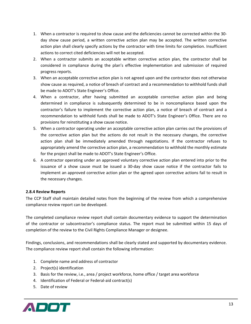- 1. When a contractor is required to show cause and the deficiencies cannot be corrected within the 30 day show cause period, a written corrective action plan may be accepted. The written corrective action plan shall clearly specify actions by the contractor with time limits for completion. Insufficient actions to correct cited deficiencies will not be accepted.
- 2. When a contractor submits an acceptable written corrective action plan, the contractor shall be considered in compliance during the plan's effective implementation and submission of required progress reports.
- 3. When an acceptable corrective action plan is not agreed upon and the contractor does not otherwise show cause as required, a notice of breach of contract and a recommendation to withhold funds shall be made to ADOT's State Engineer's Office.
- 4. When a contractor, after having submitted an acceptable corrective action plan and being determined in compliance is subsequently determined to be in noncompliance based upon the contractor's failure to implement the corrective action plan, a notice of breach of contract and a recommendation to withhold funds shall be made to ADOT's State Engineer's Office. There are no provisions for reinstituting a show cause notice.
- 5. When a contractor operating under an acceptable corrective action plan carries out the provisions of the corrective action plan but the actions do not result in the necessary changes, the corrective action plan shall be immediately amended through negotiations. If the contractor refuses to appropriately amend the corrective action plan, a recommendation to withhold the monthly estimate for the project shall be made to ADOT's State Engineer's Office.
- 6. A contractor operating under an approved voluntary corrective action plan entered into prior to the issuance of a show cause must be issued a 30-day show cause notice if the contractor fails to implement an approved corrective action plan or the agreed upon corrective actions fail to result in the necessary changes.

#### **2.8.4 Review Reports**

The CCP Staff shall maintain detailed notes from the beginning of the review from which a comprehensive compliance review report can be developed.

The completed compliance review report shall contain documentary evidence to support the determination of the contractor or subcontractor's compliance status. The report must be submitted within 15 days of completion of the review to the Civil Rights Compliance Manager or designee.

Findings, conclusions, and recommendations shall be clearly stated and supported by documentary evidence. The compliance review report shall contain the following information:

- 1. Complete name and address of contractor
- 2. Project(s) identification
- 3. Basis for the review, i.e., area / project workforce, home office / target area workforce
- 4. Identification of Federal or Federal-aid contract(s)
- 5. Date of review

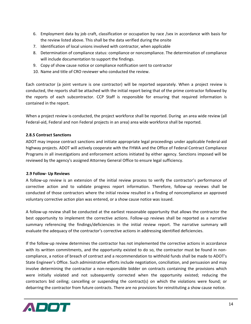- 6. Employment data by job craft, classification or occupation by race /sex in accordance with basis for the review listed above. This shall be the data verified during the onsite
- 7. Identification of local unions involved with contractor, when applicable
- 8. Determination of compliance status: compliance or noncompliance. The determination of compliance will include documentation to support the findings.
- 9. Copy of show cause notice or compliance notification sent to contractor
- 10. Name and title of CRO reviewer who conducted the review.

Each contractor (a joint venture is one contractor) will be reported separately. When a project review is conducted, the reports shall be attached with the initial report being that of the prime contractor followed by the reports of each subcontractor. CCP Staff is responsible for ensuring that required information is contained in the report.

When a project review is conducted, the project workforce shall be reported. During an area wide review (all Federal-aid, Federal and non Federal projects in an area) area wide workforce shall be reported.

#### **2.8.5 Contract Sanctions**

ADOT may impose contract sanctions and initiate appropriate legal proceedings under applicable Federal-aid highway projects. ADOT will actively cooperate with the FHWA and the Office of Federal Contract Compliance Programs in all investigations and enforcement actions initiated by either agency. Sanctions imposed will be reviewed by the agency's assigned Attorney General Office to ensure legal sufficiency.

#### <span id="page-14-0"></span>**2.9 Follow- Up Reviews**

A follow-up review is an extension of the initial review process to verify the contractor's performance of corrective action and to validate progress report information. Therefore, follow-up reviews shall be conducted of those contractors where the initial review resulted in a finding of noncompliance an approved voluntary corrective action plan was entered, or a show cause notice was issued.

A follow-up review shall be conducted at the earliest reasonable opportunity that allows the contractor the best opportunity to implement the corrective actions. Follow-up reviews shall be reported as a narrative summary referencing the findings/deficiencies in the initial review report. The narrative summary will evaluate the adequacy of the contractor's corrective actions in addressing identified deficiencies.

If the follow-up review determines the contractor has not implemented the corrective actions in accordance with its written commitments, and the opportunity existed to do so, the contractor must be found in noncompliance, a notice of breach of contract and a recommendation to withhold funds shall be made to ADOT's State Engineer's Office. Such administrative efforts include negotiation, conciliation, and persuasion and may involve determining the contractor a non-responsible bidder on contracts containing the provisions which were initially violated and not subsequently corrected when the opportunity existed; reducing the contractors bid ceiling; cancelling or suspending the contract(s) on which the violations were found; or debarring the contractor from future contracts. There are no provisions for reinstituting a show cause notice.

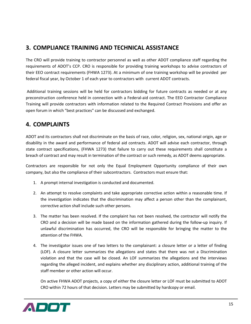# <span id="page-15-0"></span>**3. COMPLIANCE TRAINING AND TECHNICAL ASSISTANCE**

The CRO will provide training to contractor personnel as well as other ADOT compliance staff regarding the requirements of ADOT's CCP. CRO is responsible for providing training workshops to advise contractors of their EEO contract requirements (FHWA 1273). At a minimum of one training workshop will be provided per federal fiscal year, by October 1 of each year to contractors with current ADOT contracts.

Additional training sessions will be held for contractors bidding for future contracts as needed or at any preconstruction conference held in connection with a Federal-aid contract. The EEO Contractor Compliance Training will provide contractors with information related to the Required Contract Provisions and offer an open forum in which "best practices" can be discussed and exchanged.

## <span id="page-15-1"></span>**4. COMPLAINTS**

ADOT and its contractors shall not discriminate on the basis of race, color, religion, sex, national origin, age or disability in the award and performance of federal aid contracts. ADOT will advise each contractor, through state contract specifications, (FHWA 1273) that failure to carry out these requirements shall constitute a breach of contract and may result in termination of the contract or such remedy, as ADOT deems appropriate.

Contractors are responsible for not only the Equal Employment Opportunity compliance of their own company, but also the compliance of their subcontractors. Contractors must ensure that:

- 1. A prompt internal investigation is conducted and documented.
- 2. An attempt to resolve complaints and take appropriate corrective action within a reasonable time. If the investigation indicates that the discrimination may affect a person other than the complainant, corrective action shall include such other persons.
- 3. The matter has been resolved. If the complaint has not been resolved, the contractor will notify the CRO and a decision will be made based on the information gathered during the follow-up inquiry. If unlawful discrimination has occurred, the CRO will be responsible for bringing the matter to the attention of the FHWA.
- 4. The investigator issues one of two letters to the complainant: a closure letter or a letter of finding (LOF). A closure letter summarizes the allegations and states that there was not a Discrimination violation and that the case will be closed. An LOF summarizes the allegations and the interviews regarding the alleged incident, and explains whether any disciplinary action, additional training of the staff member or other action will occur.

On active FHWA ADOT projects, a copy of either the closure letter or LOF must be submitted to ADOT CRO within 72 hours of that decision. Letters may be submitted by hardcopy or email.

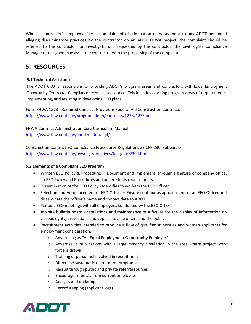When a contractor's employee files a complaint of discrimination or harassment to any ADOT personnel alleging discriminatory practices by the contractor on an ADOT FHWA project, the complaint should be referred to the contractor for investigation. If requested by the contractor, the Civil Rights Compliance Manager or designee may assist the contractor with the processing of the complaint.

### <span id="page-16-0"></span>**5. RESOURCES**

#### <span id="page-16-1"></span>**5.1 Technical Assistance**

The ADOT CRO is responsible for providing ADOT's program areas and contractors with Equal Employment Opportunity Contractor Compliance technical assistance. This includes advising program areas of requirements, implementing, and assisting in developing EEO plans.

Form FHWA 1273 - Required Contract Provisions Federal-Aid Construction Contracts <https://www.fhwa.dot.gov/programadmin/contracts/1273/1273.pdf>

FHWA Contract Administration Core Curriculum Manual <https://www.fhwa.dot.gov/construction/cqit/>

Construction Contract EO Compliance Procedures Regulations 23 CFR 230, Subpart D <https://www.fhwa.dot.gov/legsregs/directives/fapg/cfr0230d.htm>

#### <span id="page-16-2"></span>**5.2 Elements of a Compliant EEO Program**

- Written EEO Policy & Procedures Document and implement, through signature of company office, an EEO Policy and Procedures and adhere to its requirements.
- Dissemination of the EEO Policy Identifies to workers the EEO Officer
- Selection and Announcement of EEO Officer Ensure continuous appointment of an EEO Officer and disseminate the officer's name and contact data to ADOT.
- Periodic EEO meetings with all employees conducted by the EEO Officer
- Job site bulletin board -Installations and maintenance of a fixture for the display of information on various rights, protections and appeals to all workers and the public
- Recruitment activities intended to produce a flow of qualified minorities and women applicants for employment consideration.
	- o Advertising as "An Equal Employment Opportunity Employer"
	- $\circ$  Advertise in publications with a large minority circulation in the area where project work force is drawn
	- o Training of personnel involved in recruitment
	- o Direct and systematic recruitment programs
	- o Recruit through public and private referral sources
	- o Encourage referrals from current employees
	- o Analysis and updating
	- o Record Keeping (applicant logs)

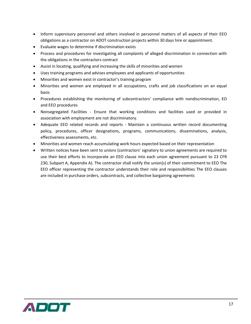- Inform supervisory personnel and others involved in personnel matters of all aspects of their EEO obligations as a contractor on ADOT construction projects within 30 days hire or appointment.
- Evaluate wages to determine if discrimination exists
- Process and procedures for investigating all complaints of alleged discrimination in connection with the obligations in the contractors contract
- Assist in locating, qualifying and increasing the skills of minorities and women
- Uses training programs and advises employees and applicants of opportunities
- Minorities and women exist in contractor's training program
- Minorities and women are employed in all occupations, crafts and job classifications on an equal basis
- Procedures establishing the monitoring of subcontractors' compliance with nondiscrimination, EO and EEO procedures
- Nonsegregated Facilities Ensure that working conditions and facilities used or provided in association with employment are not discriminatory.
- Adequate EEO related records and reports Maintain a continuous written record documenting policy, procedures, officer designations, programs, communications, disseminations, analysis, effectiveness assessments, etc.
- Minorities and women reach accumulating work hours expected based on their representation
- Written notices have been sent to unions (contractors' signatory to union agreements are required to use their best efforts to incorporate an EEO clause into each union agreement pursuant to 23 CFR 230, Subpart A, Appendix A). The contractor shall notify the union(s) of their commitment to EEO The EEO officer representing the contractor understands their role and responsibilities The EEO clauses are included in purchase orders, subcontracts, and collective bargaining agreements